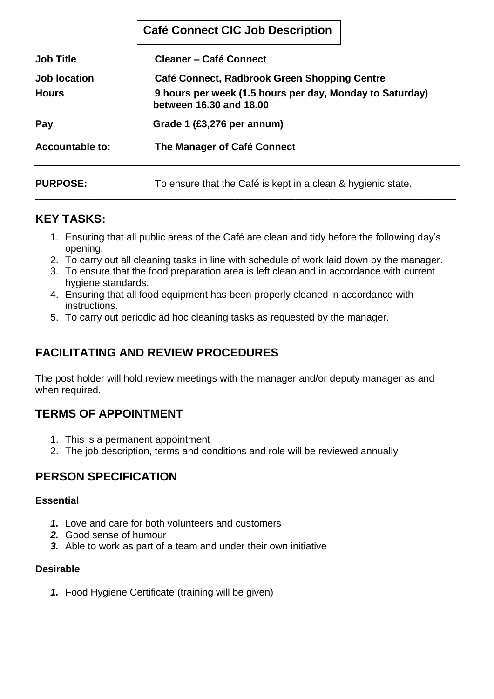|                        | <b>Café Connect CIC Job Description</b>                                                                                                                                                            |  |  |  |
|------------------------|----------------------------------------------------------------------------------------------------------------------------------------------------------------------------------------------------|--|--|--|
| <b>Job Title</b>       | <b>Cleaner – Café Connect</b><br>Café Connect, Radbrook Green Shopping Centre<br>9 hours per week (1.5 hours per day, Monday to Saturday)<br>between 16.30 and 18.00<br>Grade 1 (£3,276 per annum) |  |  |  |
| <b>Job location</b>    |                                                                                                                                                                                                    |  |  |  |
| <b>Hours</b>           |                                                                                                                                                                                                    |  |  |  |
| Pay                    |                                                                                                                                                                                                    |  |  |  |
| <b>Accountable to:</b> | The Manager of Café Connect                                                                                                                                                                        |  |  |  |
| <b>PURPOSE:</b>        | To ensure that the Café is kept in a clean & hygienic state.                                                                                                                                       |  |  |  |

### **KEY TASKS:**

1. Ensuring that all public areas of the Café are clean and tidy before the following day's opening.

\_\_\_\_\_\_\_\_\_\_\_\_\_\_\_\_\_\_\_\_\_\_\_\_\_\_\_\_\_\_\_\_\_\_\_\_\_\_\_\_\_\_\_\_\_\_\_\_\_\_\_\_\_\_\_\_\_\_\_\_\_\_\_\_\_\_\_\_\_\_\_\_\_\_\_\_

- 2. To carry out all cleaning tasks in line with schedule of work laid down by the manager.
- 3. To ensure that the food preparation area is left clean and in accordance with current hygiene standards.
- 4. Ensuring that all food equipment has been properly cleaned in accordance with instructions.
- 5. To carry out periodic ad hoc cleaning tasks as requested by the manager.

# **FACILITATING AND REVIEW PROCEDURES**

The post holder will hold review meetings with the manager and/or deputy manager as and when required.

### **TERMS OF APPOINTMENT**

- 1. This is a permanent appointment
- 2. The job description, terms and conditions and role will be reviewed annually

## **PERSON SPECIFICATION**

#### **Essential**

- *1.* Love and care for both volunteers and customers
- *2.* Good sense of humour
- *3.* Able to work as part of a team and under their own initiative

#### **Desirable**

*1.* Food Hygiene Certificate (training will be given)